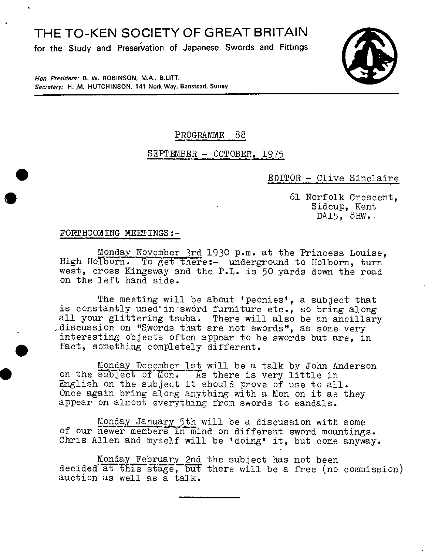# THE TO-KEN SOCIETY OF GREAT BRITAIN

**for the Study and Preservation of Japanese Swords and Fittings** 



**Hon. President: B. W. ROBINSON. MA., BUTT. Secretary: H. .M. HUTCHINSON, 141 Nork Way, Banstead, Surrey** 

## PROGRAMME 88

## SEPTEMBER - OCTOBER, 1975

#### • EDITOR - Clive Sinclaire

61 Norfolk Crescent, Sidcup, Kent DA $15, 8$ HW.-

#### FORTHCOMING MEETINGS:-

 $\bullet$ 

 $\bullet$ 

Monday November 3rd 1930 p.m. at the Princess Louise, High Holborn. To get there:- underground to Holborn, turn west, cross Kingsway and the P.L. is 50 yards down the road on the left hand side.

The meeting will be about 'peonies', a subject that is constantly used in sword furniture etc., so bring along all your glittering tsuba. There will also be an ancillary .discussion on "Swords that are not swords", as some very interesting objects often appear to be swords but are, in fact, something completely different.

Monday December 1st will be a talk by John Anderson<br>on the subject of Mon. As there is very little in English on the subject it should prove of use to all. Once again bring along anything with a Mon on it as they appear on almost everything from swords to sandals.

Monday January 5th will be a discussion with some of our newer members in mind on different sword mountings. Chris Allen and myself will be 'doing' it, but come anyway.

Monday February 2nd the subject has not been decided at this stage, but there will be a free (no commission) auction as well as a talk.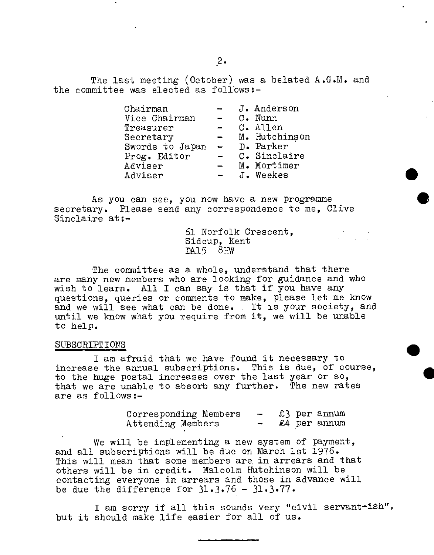The last meeting (October) was a belated A.G.M. and the committee was elected as follows:-

| Chairman        |                          | J. Anderson   |
|-----------------|--------------------------|---------------|
| Vice Chairman   |                          | C. Nunn       |
| Treasurer       | -                        | C. Allen      |
| Secretary       | $\overline{\phantom{0}}$ | M. Hutchinson |
| Swords to Japan | $\equiv$                 | D. Parker     |
| Prog. Editor    | $\overline{\phantom{a}}$ | C. Sinclaire  |
| Adviser         |                          | M. Mortimer   |
| Adviser         |                          | J. Weekes     |

As you can see, you now have a new programme secretary. Please send any correspondence to me, Olive Sinclaire at:-

> 61 Norfolk Crescent, Sidcup, Kent Dkl5 8Hw

 $\bullet$ 

The committee as a whole, understand that there are many new members who are looking for guidance and who wish to learn. All I can say is that if you have any questions, queries or comments to make, please let me know and we will see what can be done. It is your society, and until we know what you require from it, we will be unable to help.

#### SUBSCRIPT IONS

I am afraid that we have found it necessary to increase the annual subscriptions. This is due, of course, to the huge postal increases over the last year or so, that we are unable to absorb any further. The new rates are as follows:-

> Corresponding Members -  $£$  3 per annum<br>Attending Members -  $£$ 4 per annum Attending Members

We will be implementing a new system of payment, and all subscriptions will be due on March 1st 1976. This will mean that some members are, in arrears and that others will be in credit. Malcolm Hutchinson will be contacting everyone in arrears and those in advance will be due the difference for  $31.3.76 - 31.3.77$ .

I am sorry if all this sounds very "civil servant-ish", but it should make life easier for all of us.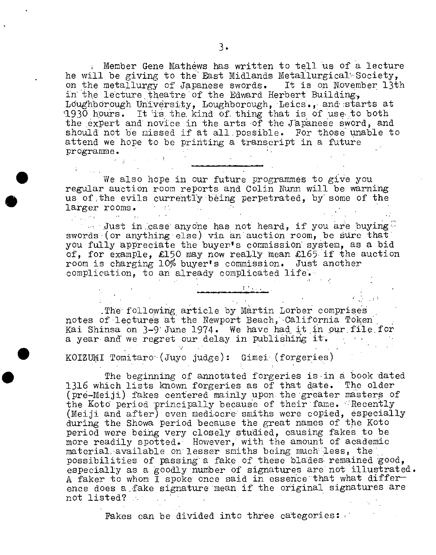Wember Gene Mathews has written to tell us of a lecture he will be giving to the East Midlands Meta1lurgical' Society, on the metallurgy of Japanese swords. It is on November 13th in the lecture theatre of the Edward Herbert Building, Loughborough University, Loughborough, Leics., and starts at 1930 hours. It is the kind of thing that is of use to both the expert and novice in the arts of the Japanese sword, and should not be missed if at all possible. For those unable to attend we hope to be printing a transcript in a future programme.

We also hope in our future programmes to give you regular auction room reports and Colin Nunn will be warning us of the evils currently being perpetrated, by some of the larger rooms.

•

 $\blacksquare$  Just in case anyone has not heard, if you are buying swords (or anything else) via an auction room, be sure that you fully appreciate the buyer's commission system, as a bid of, for example, £150 may now really mean £165 if the auction room is charging 10% buyer's commission. Just another complication, to an already complicated life.

The following article by Martin Lorber comprises notes of 'lectures at the Newport Beach, California Token' Kai Shinsa on 3-9 June 1974. We have had it in our file for a year and we regret our delay in publishing it'.

• KOIZUMI Tomitaro'-(Juyo judge): Gimei- (forgeries)

The beginning of annotated forgeries is in a book dated 1316 which lists known forgeries as of that date. The older (prd-Meiji) fakes centered mainly upon. the 'greater masters of the Koto period principally because of their fame. Recently (Meiji and after) even mediocre smiths were copied, especially during the Showa Period because the great names of the Koto period were beihg very closely studied, causing fakes to be more readily spotted.' However, with the amount of academic material available on lesser smiths being much less, the possibilities of passing a fake of these blades remained good. especially as a goodly number of signatures are not illustrated. A faker to whom I spoke once said in essence that what difference does a-fake signature 'mean if the original signatures are not listed?

Fakes can be divided into three categories: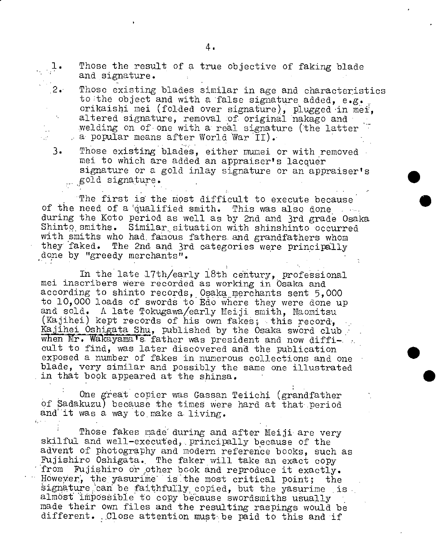√.

Those the result of a true objective of faking blade and signature.

- Those existing blades similar in age and characteristics to the object and with a false signature added, e.g. orikaishi mci (folded over signature), plugged in méi, altered signature, removal of original nakago and welding on of one with a real signature (the latter a popular means after World War  $II$ .
- 3. Those existing blades, either munei or with removed mei to which are added an appraiser's lacquer signature or a gold inlay signature or an appraiser's gold signature.

The first is the most difficult to execute because of the need of a qualified smith. This was also done during the Koto period as well as by 2nd and 3rd grade Osaka Shinto smiths. Similar situation with shinshinto occurred with smiths who had famous fathers and grandfathers whom they faked. The 2nd and 3rd categories were principally done by "greedy merchants".

In the late 17th/early 18th century, professional mci inscribers Were recorded as working in Osaka and according to shinto records, Osaka merchants sent 5,000 to 10,000 loads of swords to Edo where they were done up and sold. A late Tokugawa/early Meiji smith, Naomitsu (Kajihei) kept records of his own fakes; this record, Kajihei Oshigata Shu, published by the Osaka sword club when Mr. Wakayama's father was president and now difficult to find, was later discovered and the publication exposed a number of fakes in numerous collections and one blade, very similar and possibly the same one illustrated in that book appeared at the shinsa.

One qreat copier was Gassan Teiichi (grandfather of Sadakuzu) because the times Were hard at that period and it was a way to make a living.

Those fakes made during and after Meiji are very skilful and well-executed, principally because of the advent of photography and modern reference books, such as Pujishiro Oshigata.. The faker will take an exact copy from Fujishiro or other book and reproduce it exactly. However, the yasurime is the most critical point; the signature can be faithfully copied, but the yasurime is almost impossible to copy because swordsmiths usually made their own files and the resulting raspings would be different. Close attention must be paid to this and if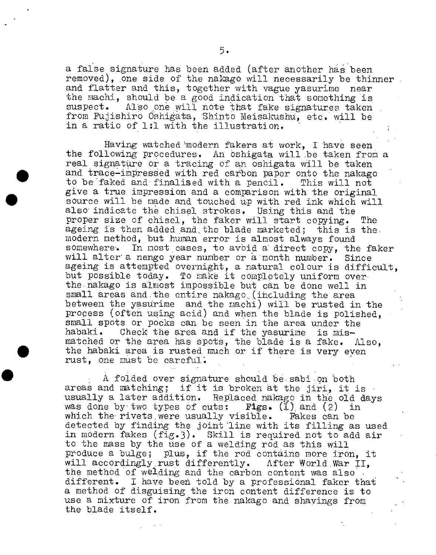a false signature has been added (after another has been removed), one side of the nakago will necessarily be thinner and flatter and this, together with vague yasurime near the machi, should be a good indication that something is<br>suspect. Also one will note that fake signatures taken Also one will note that fake signatures taken from Fujishiro Oshigata, Shinto Meisakushu, etc. will be in a ratio of 1:1 with the illustration.

Having watched 'modern fakers at work, I have seen the following procedures. An oshigata will be taken from a Having watched modern fakers at work, I have seen<br>the following procedures. An oshigata will be taken from<br>real signature or a tracing of an oshigata will be taken<br>and trace-impressed with red carbon paper onto the nakago<br> and trace-impressed with red carbon paper onto the nakago<br>to be faked and finalised with a pencil. This will not<br>give a true impression and a comparison with the original to be faked and finalised with a pencil. This will not<br>give a true impression and a comparison with the original<br>source will be made and touched up with red ink which will<br>also indicate the chisel strokes. Using this and t also indicate the chisel strokes. Using this and the proper size of chisel, the faker will start copying. The ageing is then added and the blade marketed; this is the modern method, but human error is almost always found In most cases, to avoid a direct copy, the faker will alter a nengo year number or a month number. Since ageing is attempted overnight, a natural colour is difficult, but possible today. To make it completely uniform over the nakago is almost impossible but can be done well in small areas and the entire nakago (including the area between the yasurime and the machi) will be rusted in the process (ofteh using acid) and when the blade is polished, small spots or pocks can be seen in the area under the habaki. Check the area and if the yasurime is mismatched or the area has spots, the blade is a fake. Also, the habaki area is rusted much or if there is very eyen rust, one must be careful.

> A folded over signature should be.sabion both areas and matching; if it is broken at the jiri, it is usually a later addition. Replaced nakago in the old days was done by two types of cuts:  $\mathbf{F1gs.}$  (1) and (2) in which the rivets were usually visible. Fakes can be which the rivets were usually visible. detected by finding the joint line with its filling as used in modern fakes (fig.3). Skill is required not to add air to the mass by the use of a welding rod as this will produce a bulge; plus, if the rod contains more iron, it<br>will accordingly rust differently. After World War II. will accordingly rust differently. the method of welding and the carbon content was also. different. I have been told by a professional faker that a method of disguising the iron content difference is to use a mixture of iron from the nakago and shavings from the blade itself.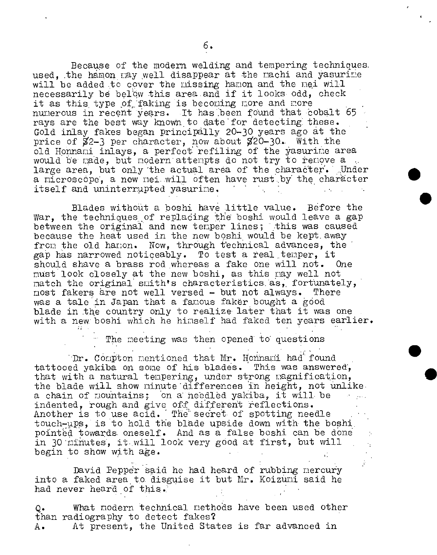Because of the modem welding and tempering techniques. used. the hamon may well disappear at the machi and yasurime will be added to cover the missing hamon and the mei will necessarily be below this area and if it looks odd, check it as this type of faking is becoming more and more numerous in recent years. It has been found that cobalt 65 rays are the best way known to date for detecting these. Gold inlay fakes began principally 20-30 years ago at the price of  $82-3$  per character, now about  $820-30$ . With the old Honnami inlays, a perfect refiling of the yasurine area would be made, but modern attempts do not try to remove a large area, but only the actual area of the character. Under a microscope, a new nei will often have rust by the character itself and uninterrupted yasurime.

Blades without a boshi have little value. Before the War, the techniques of replading the boshi would leave a gap between the original and new temper lines; this was caused because the heat used in the new boshi would be kept away from the old hamon. Now, through technical advances, the gap has narrowed noticeably. To test a real temper, it should shave a brass rod whereas a fake one will not. One must look closely at the new boshi, as this may well not match the original smith's characteristics as, fortunately, nost fakers are not well versed - but not always. There most fakers are not well versed - but not always. was a tale in Japan that a fanous faker bought a good blade in the country only to realize later that it was one with a new boshi which he himself had faked ten years earlier.

The meeting was then opened to questions

Dr. Compton mentioned that Mr. Honnami had found tattooed yakiba on some of his blades. This was answered, that with a natural tempering, under strong magnification, the blade will snow minute differences in height, not unlike. a chain of mountains; on a heedled yakiba, it will be indented, rough and give off different reflections. Another is to use acid. The secret of spotting needle touch-ups, is to hold the blade upside down with the boshi. pointed towards oneself. And as a false boshi can be done in 30 minutes, it will look very good at first, but will begin to show with age.

David Pepper said he had heard of rubbing mercury into a faked area to disguise it but Mr. Koizuni said he had never heard of this.

Q. What modern technical methods have been used other than radiography to detect fakes? A. At present, the United States is far advanced in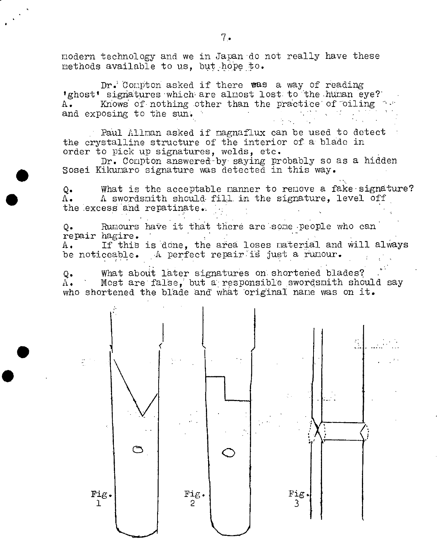modern technology and we in Japan do not really have these methods available to us, but hope to.

Dr. Compton asked if there was a way of reading 'ghost' signatures which are almost lost to the human eye? A. Knows of nothing other than the practice of oiling and exposing to the sun.

Paul Allran asked if nagnaflux can be used to detect the crystalline structure of the interior of a blade in order to pick up signatures, welds, etc.

Dr. Compton answered-by saying probably so as a hidden Sosel Kilcunaro signature was detected in this way.

 $\blacksquare$ 

**S** 

 $\bullet$ 

 $Q_{\bullet}$  What is the acceptable manner to remove a fake-signature?<br>A. A swordsmith should fill in the signature. level off A swordsmith should fill in the signature, level off the excess and repatinate.

Q. Rumours have it that there are some people who can repair hagire. A. If this is dOne, the area loses material and Will always be noticeable. A perfect repair is just a rumour.

Q. What about later signatures on shortened blades?<br>A. Most are false. but a responsible swordsmith show Most are false, but a responsible swordsmith should say who shortened the blade and what original name was on it.